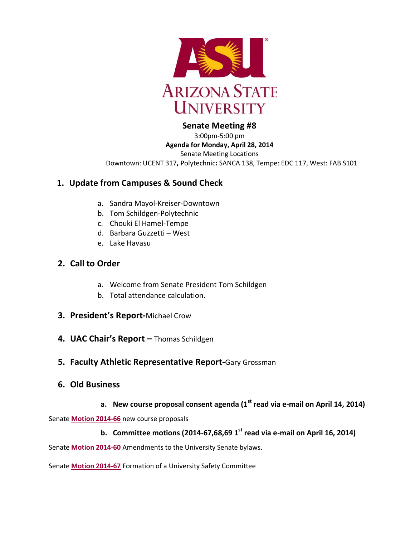

## **Senate Meeting #8**

3:00pm-5:00 pm **Agenda for Monday, April 28, 2014** Senate Meeting Locations Downtown: UCENT 317**,** Polytechnic**:** SANCA 138, Tempe: EDC 117, West: FAB S101

# **1. Update from Campuses & Sound Check**

- a. Sandra Mayol-Kreiser-Downtown
- b. Tom Schildgen-Polytechnic
- c. Chouki El Hamel-Tempe
- d. Barbara Guzzetti West
- e. Lake Havasu

# **2. Call to Order**

- a. Welcome from Senate President Tom Schildgen
- b. Total attendance calculation.
- **3. President's Report-**Michael Crow
- **4. UAC Chair's Report –** Thomas Schildgen
- **5. Faculty Athletic Representative Report-**Gary Grossman
- **6. Old Business**
	- **a. New course proposal consent agenda (1st read via e-mail on April 14, 2014)**

Senate **[Motion 2014-66](http://usenate.asu.edu/node/4971)** new course proposals

**b. Committee motions (2014-67,68,69 1 st read via e-mail on April 16, 2014)**

Senate **[Motion 2014-60](http://usenate.asu.edu/node/4926)** Amendments to the University Senate bylaws.

Senate **[Motion 2014-67](http://usenate.asu.edu/node/4972)** Formation of a University Safety Committee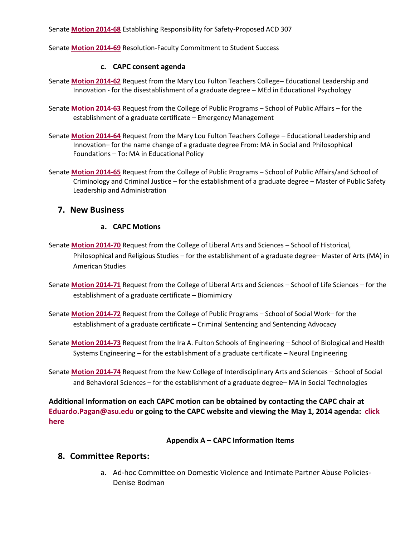Senate **[Motion 2014-68](http://usenate.asu.edu/node/4973)** Establishing Responsibility for Safety-Proposed ACD 307

Senate **[Motion 2014-69](http://usenate.asu.edu/node/4974)** Resolution-Faculty Commitment to Student Success

### **c. CAPC consent agenda**

- Senate **[Motion 2014-62](http://usenate.asu.edu/node/4927)** Request from the Mary Lou Fulton Teachers College– Educational Leadership and Innovation - for the disestablishment of a graduate degree – MEd in Educational Psychology
- Senate **[Motion 2014-63](http://usenate.asu.edu/node/4928)** Request from the College of Public Programs School of Public Affairs for the establishment of a graduate certificate – Emergency Management
- Senate **[Motion 2014-64](http://usenate.asu.edu/node/4929)** Request from the Mary Lou Fulton Teachers College Educational Leadership and Innovation– for the name change of a graduate degree From: MA in Social and Philosophical Foundations – To: MA in Educational Policy
- Senate **[Motion 2014-65](http://usenate.asu.edu/node/4939)** Request from the College of Public Programs School of Public Affairs/and School of Criminology and Criminal Justice – for the establishment of a graduate degree – Master of Public Safety Leadership and Administration

### **7. New Business**

### **a. CAPC Motions**

- Senate **[Motion 2014-70](http://usenate.asu.edu/node/4977)** Request from the College of Liberal Arts and Sciences School of Historical, Philosophical and Religious Studies – for the establishment of a graduate degree– Master of Arts (MA) in American Studies
- Senate **[Motion 2014-71](http://usenate.asu.edu/node/4978)** Request from the College of Liberal Arts and Sciences School of Life Sciences for the establishment of a graduate certificate – Biomimicry
- Senate **[Motion 2014-72](http://usenate.asu.edu/node/4979)** Request from the College of Public Programs School of Social Work– for the establishment of a graduate certificate – Criminal Sentencing and Sentencing Advocacy
- Senate **[Motion 2014-73](http://usenate.asu.edu/node/4980)** Request from the Ira A. Fulton Schools of Engineering School of Biological and Health Systems Engineering – for the establishment of a graduate certificate – Neural Engineering
- Senate **[Motion 2014-74](http://usenate.asu.edu/node/4981)** Request from the New College of Interdisciplinary Arts and Sciences School of Social and Behavioral Sciences – for the establishment of a graduate degree– MA in Social Technologies

**Additional Information on each CAPC motion can be obtained by contacting the CAPC chair at [Eduardo.Pagan@asu.edu](mailto:Eduardo.Pagan@asu.edu) or going to the CAPC website and viewing the May 1, 2014 agenda: [click](https://provost.asu.edu/capc/agenda)  [here](https://provost.asu.edu/capc/agenda)**

### **Appendix A – CAPC Information Items**

## **8. Committee Reports:**

a. Ad-hoc Committee on Domestic Violence and Intimate Partner Abuse Policies-Denise Bodman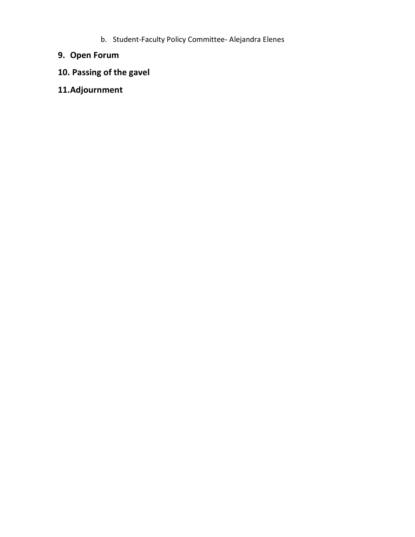b. Student-Faculty Policy Committee- Alejandra Elenes

# **9. Open Forum**

# **10. Passing of the gavel**

**11.Adjournment**